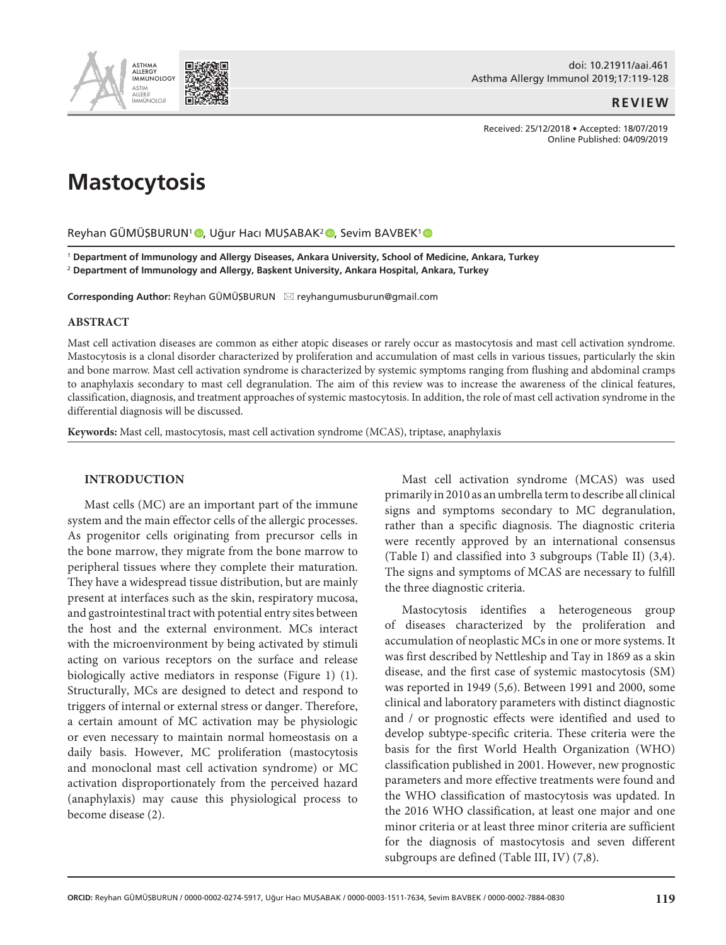

doi: 10.21911/aai.461 Asthma Allergy Immunol 2019;17:119-128

**REVIEW**

Received: 25/12/2018 • Accepted: 18/07/2019 Online Published: 04/09/2019

# **Mastocytosis**

Reyhan GÜMÜŞBURUN<sup>1</sup> D[,](https://orcid.org/0000-0002-0274-5917) Uğur Hacı MUŞABAK<sup>2</sup> D, Sevim BAVBEK<sup>1</sup> D

<sup>1</sup> **Department of Immunology and Allergy Diseases, Ankara University, School of Medicine, Ankara, Turkey**  <sup>2</sup> **Department of Immunology and Allergy, Başkent University, Ankara Hospital, Ankara, Turkey** 

**Corresponding Author:** Reyhan GÜMÜŞBURUN \* reyhangumusburun@gmail.com

#### **ABSTRACT**

Mast cell activation diseases are common as either atopic diseases or rarely occur as mastocytosis and mast cell activation syndrome. Mastocytosis is a clonal disorder characterized by proliferation and accumulation of mast cells in various tissues, particularly the skin and bone marrow. Mast cell activation syndrome is characterized by systemic symptoms ranging from flushing and abdominal cramps to anaphylaxis secondary to mast cell degranulation. The aim of this review was to increase the awareness of the clinical features, classification, diagnosis, and treatment approaches of systemic mastocytosis. In addition, the role of mast cell activation syndrome in the differential diagnosis will be discussed.

**Keywords:** Mast cell, mastocytosis, mast cell activation syndrome (MCAS), triptase, anaphylaxis

## **INTRODUCTION**

Mast cells (MC) are an important part of the immune system and the main effector cells of the allergic processes. As progenitor cells originating from precursor cells in the bone marrow, they migrate from the bone marrow to peripheral tissues where they complete their maturation. They have a widespread tissue distribution, but are mainly present at interfaces such as the skin, respiratory mucosa, and gastrointestinal tract with potential entry sites between the host and the external environment. MCs interact with the microenvironment by being activated by stimuli acting on various receptors on the surface and release biologically active mediators in response (Figure 1) (1). Structurally, MCs are designed to detect and respond to triggers of internal or external stress or danger. Therefore, a certain amount of MC activation may be physiologic or even necessary to maintain normal homeostasis on a daily basis. However, MC proliferation (mastocytosis and monoclonal mast cell activation syndrome) or MC activation disproportionately from the perceived hazard (anaphylaxis) may cause this physiological process to become disease (2).

Mast cell activation syndrome (MCAS) was used primarily in 2010 as an umbrella term to describe all clinical signs and symptoms secondary to MC degranulation, rather than a specific diagnosis. The diagnostic criteria were recently approved by an international consensus (Table I) and classified into 3 subgroups (Table II) (3,4). The signs and symptoms of MCAS are necessary to fulfill the three diagnostic criteria.

Mastocytosis identifies a heterogeneous group of diseases characterized by the proliferation and accumulation of neoplastic MCs in one or more systems. It was first described by Nettleship and Tay in 1869 as a skin disease, and the first case of systemic mastocytosis (SM) was reported in 1949 (5,6). Between 1991 and 2000, some clinical and laboratory parameters with distinct diagnostic and / or prognostic effects were identified and used to develop subtype-specific criteria. These criteria were the basis for the first World Health Organization (WHO) classification published in 2001. However, new prognostic parameters and more effective treatments were found and the WHO classification of mastocytosis was updated. In the 2016 WHO classification, at least one major and one minor criteria or at least three minor criteria are sufficient for the diagnosis of mastocytosis and seven different subgroups are defined (Table III, IV) (7,8).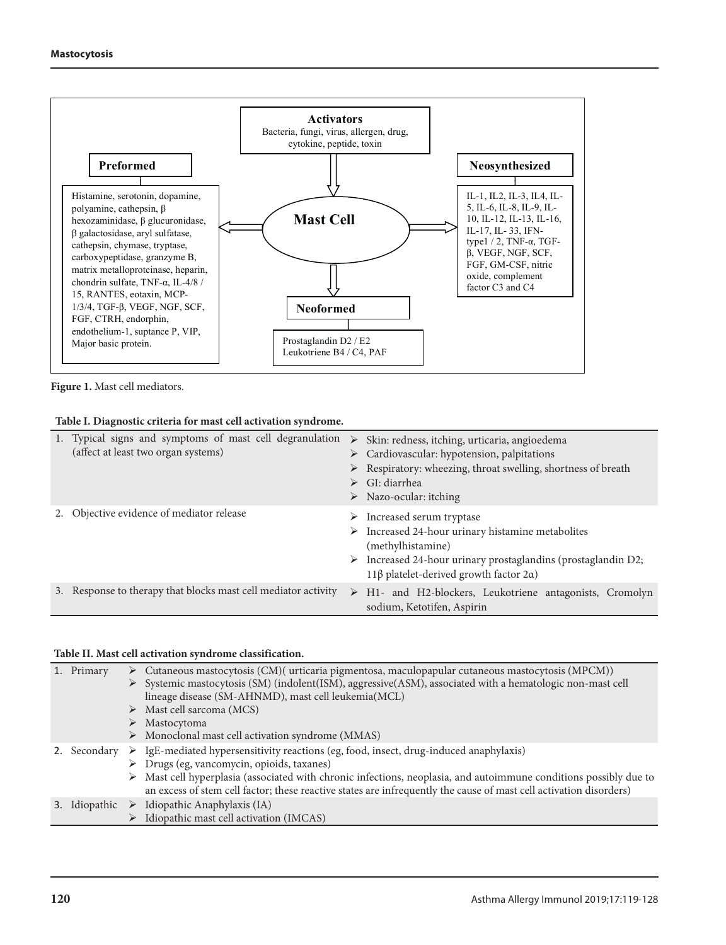

Figure 1. Mast cell mediators.

#### **Table I. Diagnostic criteria for mast cell activation syndrome.**

| 1. Typical signs and symptoms of mast cell degranulation<br>(affect at least two organ systems) | ↘<br>➤ | Skin: redness, itching, urticaria, angioedema<br>$\triangleright$ Cardiovascular: hypotension, palpitations<br>> Respiratory: wheezing, throat swelling, shortness of breath<br>GI: diarrhea<br>$\triangleright$ Nazo-ocular: itching |
|-------------------------------------------------------------------------------------------------|--------|---------------------------------------------------------------------------------------------------------------------------------------------------------------------------------------------------------------------------------------|
| Objective evidence of mediator release                                                          | ➤<br>➤ | Increased serum tryptase<br>$\triangleright$ Increased 24-hour urinary histamine metabolites<br>(methylhistamine)<br>Increased 24-hour urinary prostaglandins (prostaglandin D2;<br>11β platelet-derived growth factor $2α$ )         |
| Response to therapy that blocks mast cell mediator activity                                     | ➤      | H1- and H2-blockers, Leukotriene antagonists, Cromolyn<br>sodium, Ketotifen, Aspirin                                                                                                                                                  |

#### **Table II. Mast cell activation syndrome classification.**

| 1. Primary |   | $\triangleright$ Cutaneous mastocytosis (CM)( urticaria pigmentosa, maculopapular cutaneous mastocytosis (MPCM))<br>> Systemic mastocytosis (SM) (indolent(ISM), aggressive(ASM), associated with a hematologic non-mast cell<br>lineage disease (SM-AHNMD), mast cell leukemia(MCL)<br>$\triangleright$ Mast cell sarcoma (MCS)                                                               |
|------------|---|------------------------------------------------------------------------------------------------------------------------------------------------------------------------------------------------------------------------------------------------------------------------------------------------------------------------------------------------------------------------------------------------|
|            | ➤ | Mastocytoma<br>$\triangleright$ Monoclonal mast cell activation syndrome (MMAS)                                                                                                                                                                                                                                                                                                                |
| Secondary  |   | $\triangleright$ IgE-mediated hypersensitivity reactions (eg, food, insect, drug-induced anaphylaxis)<br>> Drugs (eg, vancomycin, opioids, taxanes)<br>> Mast cell hyperplasia (associated with chronic infections, neoplasia, and autoimmune conditions possibly due to<br>an excess of stem cell factor; these reactive states are infrequently the cause of mast cell activation disorders) |
|            |   | 3. Idiopathic $\triangleright$ Idiopathic Anaphylaxis (IA)<br>> Idiopathic mast cell activation (IMCAS)                                                                                                                                                                                                                                                                                        |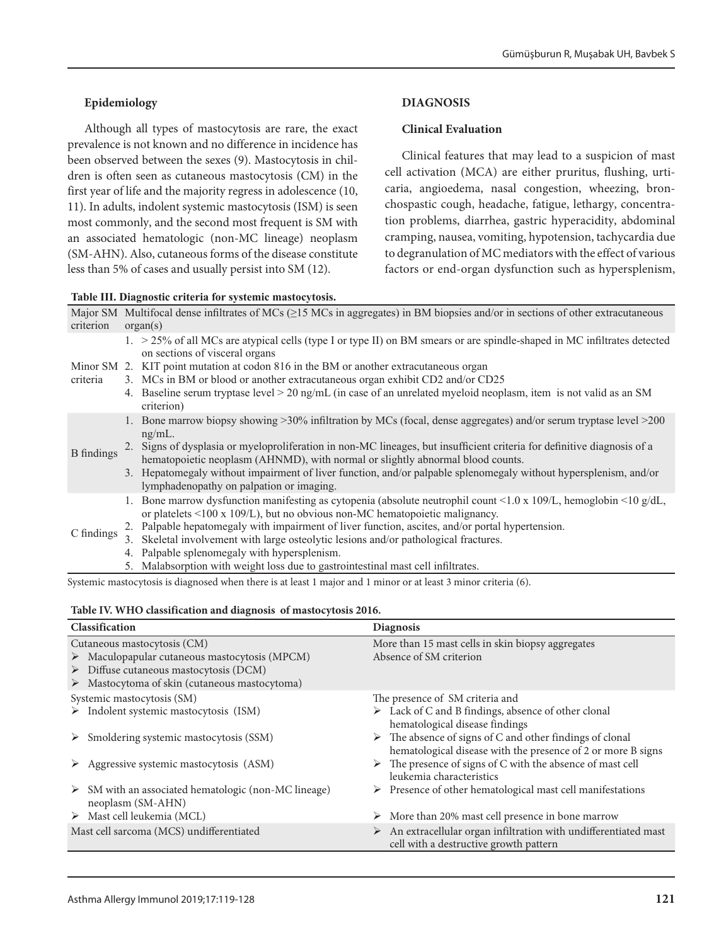# **Epidemiology**

Although all types of mastocytosis are rare, the exact prevalence is not known and no difference in incidence has been observed between the sexes (9). Mastocytosis in children is often seen as cutaneous mastocytosis (CM) in the first year of life and the majority regress in adolescence (10, 11). In adults, indolent systemic mastocytosis (ISM) is seen most commonly, and the second most frequent is SM with an associated hematologic (non-MC lineage) neoplasm (SM-AHN). Also, cutaneous forms of the disease constitute less than 5% of cases and usually persist into SM (12).

|  |  |  |  | Table III. Diagnostic criteria for systemic mastocytosis. |
|--|--|--|--|-----------------------------------------------------------|
|--|--|--|--|-----------------------------------------------------------|

## **DIAGNOSIS**

### **Clinical Evaluation**

Clinical features that may lead to a suspicion of mast cell activation (MCA) are either pruritus, flushing, urticaria, angioedema, nasal congestion, wheezing, bronchospastic cough, headache, fatigue, lethargy, concentration problems, diarrhea, gastric hyperacidity, abdominal cramping, nausea, vomiting, hypotension, tachycardia due to degranulation of MC mediators with the effect of various factors or end-organ dysfunction such as hypersplenism,

| criterion         | Major SM Multifocal dense infiltrates of MCs $(≥15$ MCs in aggregates) in BM biopsies and/or in sections of other extracutaneous<br>organ(s)                                                                                                                                                                                                                                                                                                                                                                                           |  |  |  |
|-------------------|----------------------------------------------------------------------------------------------------------------------------------------------------------------------------------------------------------------------------------------------------------------------------------------------------------------------------------------------------------------------------------------------------------------------------------------------------------------------------------------------------------------------------------------|--|--|--|
| criteria          | 1. > 25% of all MCs are atypical cells (type I or type II) on BM smears or are spindle-shaped in MC infiltrates detected<br>on sections of visceral organs<br>Minor SM 2. KIT point mutation at codon 816 in the BM or another extracutaneous organ<br>3. MCs in BM or blood or another extracutaneous organ exhibit CD2 and/or CD25<br>4. Baseline serum tryptase level > 20 ng/mL (in case of an unrelated myeloid neoplasm, item is not valid as an SM<br>criterion)                                                                |  |  |  |
| <b>B</b> findings | 1. Bone marrow biopsy showing >30% infiltration by MCs (focal, dense aggregates) and/or serum tryptase level >200<br>$ng/mL$ .<br>2. Signs of dysplasia or myeloproliferation in non-MC lineages, but insufficient criteria for definitive diagnosis of a<br>hematopoietic neoplasm (AHNMD), with normal or slightly abnormal blood counts.<br>3. Hepatomegaly without impairment of liver function, and/or palpable splenomegaly without hypersplenism, and/or<br>lymphadenopathy on palpation or imaging.                            |  |  |  |
| C findings        | 1. Bone marrow dysfunction manifesting as cytopenia (absolute neutrophil count <1.0 x 109/L, hemoglobin <10 g/dL,<br>or platelets $\leq 100$ x $109/L$ ), but no obvious non-MC hematopoietic malignancy.<br>2. Palpable hepatomegaly with impairment of liver function, ascites, and/or portal hypertension.<br>3. Skeletal involvement with large osteolytic lesions and/or pathological fractures.<br>4. Palpable splenomegaly with hypersplenism.<br>5. Molokaamstian with waight lags due to opstusintastinal most pall influence |  |  |  |

Malabsorption with weight loss due to gastrointestinal mast cell infiltrates.

Systemic mastocytosis is diagnosed when there is at least 1 major and 1 minor or at least 3 minor criteria (6).

#### **Table IV. WHO classification and diagnosis of mastocytosis 2016.**

| Classification                                                                                                                                                                                                       | <b>Diagnosis</b>                                                                                                                        |  |  |
|----------------------------------------------------------------------------------------------------------------------------------------------------------------------------------------------------------------------|-----------------------------------------------------------------------------------------------------------------------------------------|--|--|
| Cutaneous mastocytosis (CM)<br>$\triangleright$ Maculopapular cutaneous mastocytosis (MPCM)<br>$\triangleright$ Diffuse cutaneous mastocytosis (DCM)<br>$\triangleright$ Mastocytoma of skin (cutaneous mastocytoma) | More than 15 mast cells in skin biopsy aggregates<br>Absence of SM criterion                                                            |  |  |
| Systemic mastocytosis (SM)                                                                                                                                                                                           | The presence of SM criteria and                                                                                                         |  |  |
| $\triangleright$ Indolent systemic mastocytosis (ISM)                                                                                                                                                                | $\triangleright$ Lack of C and B findings, absence of other clonal<br>hematological disease findings                                    |  |  |
| Smoldering systemic mastocytosis (SSM)<br>➤                                                                                                                                                                          | $\triangleright$ The absence of signs of C and other findings of clonal<br>hematological disease with the presence of 2 or more B signs |  |  |
| Aggressive systemic mastocytosis (ASM)<br>➤                                                                                                                                                                          | $\triangleright$ The presence of signs of C with the absence of mast cell<br>leukemia characteristics                                   |  |  |
| $\triangleright$ SM with an associated hematologic (non-MC lineage)<br>neoplasm (SM-AHN)                                                                                                                             | $\triangleright$ Presence of other hematological mast cell manifestations                                                               |  |  |
| $\triangleright$ Mast cell leukemia (MCL)                                                                                                                                                                            | $\triangleright$ More than 20% mast cell presence in bone marrow                                                                        |  |  |
| Mast cell sarcoma (MCS) undifferentiated                                                                                                                                                                             | An extracellular organ infiltration with undifferentiated mast<br>➤<br>cell with a destructive growth pattern                           |  |  |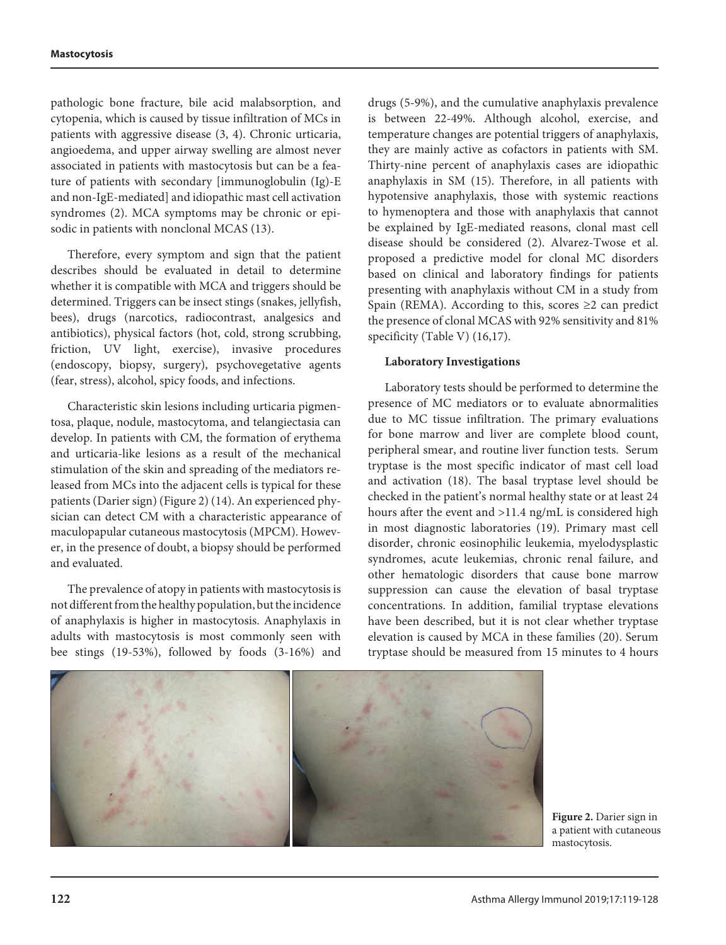pathologic bone fracture, bile acid malabsorption, and cytopenia, which is caused by tissue infiltration of MCs in patients with aggressive disease (3, 4). Chronic urticaria, angioedema, and upper airway swelling are almost never associated in patients with mastocytosis but can be a feature of patients with secondary [immunoglobulin (Ig)-E and non-IgE-mediated] and idiopathic mast cell activation syndromes (2). MCA symptoms may be chronic or episodic in patients with nonclonal MCAS (13).

Therefore, every symptom and sign that the patient describes should be evaluated in detail to determine whether it is compatible with MCA and triggers should be determined. Triggers can be insect stings (snakes, jellyfish, bees), drugs (narcotics, radiocontrast, analgesics and antibiotics), physical factors (hot, cold, strong scrubbing, friction, UV light, exercise), invasive procedures (endoscopy, biopsy, surgery), psychovegetative agents (fear, stress), alcohol, spicy foods, and infections.

Characteristic skin lesions including urticaria pigmentosa, plaque, nodule, mastocytoma, and telangiectasia can develop. In patients with CM, the formation of erythema and urticaria-like lesions as a result of the mechanical stimulation of the skin and spreading of the mediators released from MCs into the adjacent cells is typical for these patients (Darier sign) (Figure 2) (14). An experienced physician can detect CM with a characteristic appearance of maculopapular cutaneous mastocytosis (MPCM). However, in the presence of doubt, a biopsy should be performed and evaluated.

The prevalence of atopy in patients with mastocytosis is not different from the healthy population, but the incidence of anaphylaxis is higher in mastocytosis. Anaphylaxis in adults with mastocytosis is most commonly seen with bee stings (19-53%), followed by foods (3-16%) and drugs (5-9%), and the cumulative anaphylaxis prevalence is between 22-49%. Although alcohol, exercise, and temperature changes are potential triggers of anaphylaxis, they are mainly active as cofactors in patients with SM. Thirty-nine percent of anaphylaxis cases are idiopathic anaphylaxis in SM (15). Therefore, in all patients with hypotensive anaphylaxis, those with systemic reactions to hymenoptera and those with anaphylaxis that cannot be explained by IgE-mediated reasons, clonal mast cell disease should be considered (2). Alvarez-Twose et al. proposed a predictive model for clonal MC disorders based on clinical and laboratory findings for patients presenting with anaphylaxis without CM in a study from Spain (REMA). According to this, scores  $\geq 2$  can predict the presence of clonal MCAS with 92% sensitivity and 81% specificity (Table V) (16,17).

## **Laboratory Investigations**

Laboratory tests should be performed to determine the presence of MC mediators or to evaluate abnormalities due to MC tissue infiltration. The primary evaluations for bone marrow and liver are complete blood count, peripheral smear, and routine liver function tests. Serum tryptase is the most specific indicator of mast cell load and activation (18). The basal tryptase level should be checked in the patient's normal healthy state or at least 24 hours after the event and >11.4 ng/mL is considered high in most diagnostic laboratories (19). Primary mast cell disorder, chronic eosinophilic leukemia, myelodysplastic syndromes, acute leukemias, chronic renal failure, and other hematologic disorders that cause bone marrow suppression can cause the elevation of basal tryptase concentrations. In addition, familial tryptase elevations have been described, but it is not clear whether tryptase elevation is caused by MCA in these families (20). Serum tryptase should be measured from 15 minutes to 4 hours



**Figure 2.** Darier sign in a patient with cutaneous mastocytosis.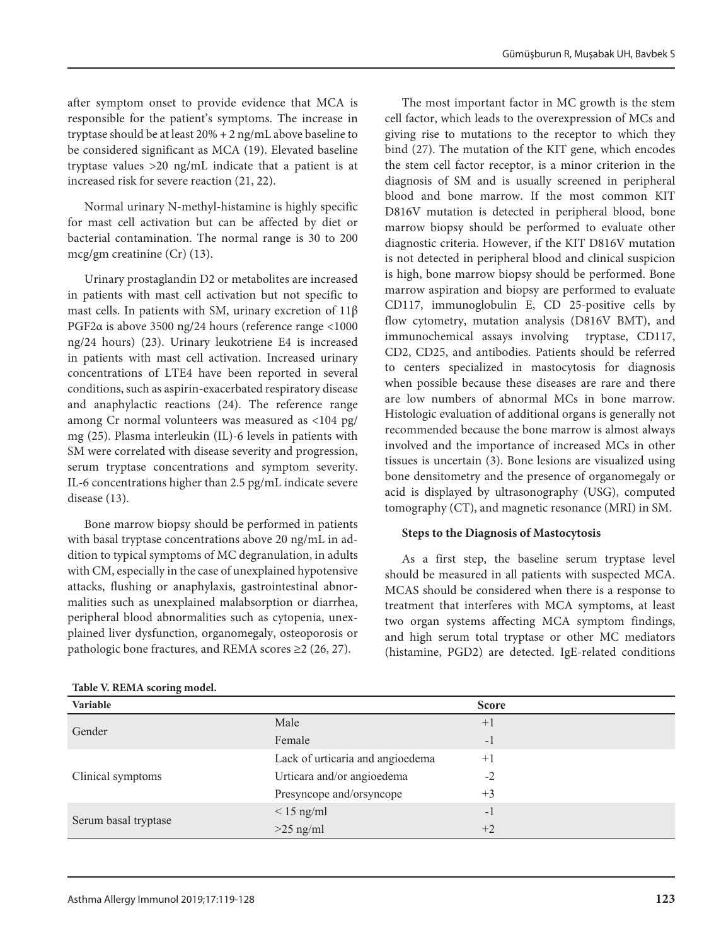after symptom onset to provide evidence that MCA is responsible for the patient's symptoms. The increase in tryptase should be at least 20% + 2 ng/mL above baseline to be considered significant as MCA (19). Elevated baseline tryptase values >20 ng/mL indicate that a patient is at increased risk for severe reaction (21, 22).

Normal urinary N-methyl-histamine is highly specific for mast cell activation but can be affected by diet or bacterial contamination. The normal range is 30 to 200 mcg/gm creatinine (Cr) (13).

Urinary prostaglandin D2 or metabolites are increased in patients with mast cell activation but not specific to mast cells. In patients with SM, urinary excretion of 11β PGF2α is above 3500 ng/24 hours (reference range <1000 ng/24 hours) (23). Urinary leukotriene E4 is increased in patients with mast cell activation. Increased urinary concentrations of LTE4 have been reported in several conditions, such as aspirin-exacerbated respiratory disease and anaphylactic reactions (24). The reference range among Cr normal volunteers was measured as <104 pg/ mg (25). Plasma interleukin (IL)-6 levels in patients with SM were correlated with disease severity and progression, serum tryptase concentrations and symptom severity. IL-6 concentrations higher than 2.5 pg/mL indicate severe disease (13).

Bone marrow biopsy should be performed in patients with basal tryptase concentrations above 20 ng/mL in addition to typical symptoms of MC degranulation, in adults with CM, especially in the case of unexplained hypotensive attacks, flushing or anaphylaxis, gastrointestinal abnormalities such as unexplained malabsorption or diarrhea, peripheral blood abnormalities such as cytopenia, unexplained liver dysfunction, organomegaly, osteoporosis or pathologic bone fractures, and REMA scores ≥2 (26, 27).

| Table V. REMA scoring model. |  |  |  |
|------------------------------|--|--|--|
|------------------------------|--|--|--|

The most important factor in MC growth is the stem cell factor, which leads to the overexpression of MCs and giving rise to mutations to the receptor to which they bind (27). The mutation of the KIT gene, which encodes the stem cell factor receptor, is a minor criterion in the diagnosis of SM and is usually screened in peripheral blood and bone marrow. If the most common KIT D816V mutation is detected in peripheral blood, bone marrow biopsy should be performed to evaluate other diagnostic criteria. However, if the KIT D816V mutation is not detected in peripheral blood and clinical suspicion is high, bone marrow biopsy should be performed. Bone marrow aspiration and biopsy are performed to evaluate CD117, immunoglobulin E, CD 25-positive cells by flow cytometry, mutation analysis (D816V BMT), and immunochemical assays involving tryptase, CD117, CD2, CD25, and antibodies. Patients should be referred to centers specialized in mastocytosis for diagnosis when possible because these diseases are rare and there are low numbers of abnormal MCs in bone marrow. Histologic evaluation of additional organs is generally not recommended because the bone marrow is almost always involved and the importance of increased MCs in other tissues is uncertain (3). Bone lesions are visualized using bone densitometry and the presence of organomegaly or acid is displayed by ultrasonography (USG), computed tomography (CT), and magnetic resonance (MRI) in SM.

## **Steps to the Diagnosis of Mastocytosis**

As a first step, the baseline serum tryptase level should be measured in all patients with suspected MCA. MCAS should be considered when there is a response to treatment that interferes with MCA symptoms, at least two organ systems affecting MCA symptom findings, and high serum total tryptase or other MC mediators (histamine, PGD2) are detected. IgE-related conditions

| Variable             |                                  | <b>Score</b> |
|----------------------|----------------------------------|--------------|
|                      | Male                             | $+1$         |
| Gender               | Female                           | $-1$         |
|                      | Lack of urticaria and angioedema | $+1$         |
| Clinical symptoms    | Urticara and/or angioedema       | $-2$         |
|                      | Presyncope and/orsyncope         | $+3$         |
|                      | $\leq 15$ ng/ml                  | -1           |
| Serum basal tryptase | $>25$ ng/ml                      | $+2$         |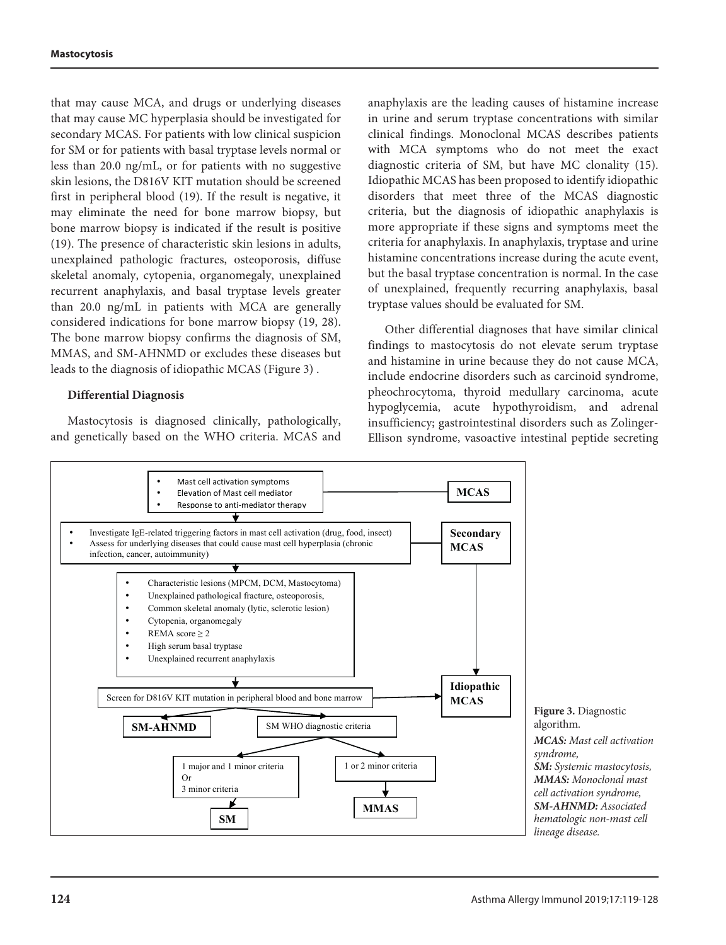that may cause MCA, and drugs or underlying diseases that may cause MC hyperplasia should be investigated for secondary MCAS. For patients with low clinical suspicion for SM or for patients with basal tryptase levels normal or less than 20.0 ng/mL, or for patients with no suggestive skin lesions, the D816V KIT mutation should be screened first in peripheral blood (19). If the result is negative, it may eliminate the need for bone marrow biopsy, but bone marrow biopsy is indicated if the result is positive (19). The presence of characteristic skin lesions in adults, unexplained pathologic fractures, osteoporosis, diffuse skeletal anomaly, cytopenia, organomegaly, unexplained recurrent anaphylaxis, and basal tryptase levels greater than 20.0 ng/mL in patients with MCA are generally considered indications for bone marrow biopsy (19, 28). The bone marrow biopsy confirms the diagnosis of SM, MMAS, and SM-AHNMD or excludes these diseases but leads to the diagnosis of idiopathic MCAS (Figure 3) .

#### **Differential Diagnosis**

Mastocytosis is diagnosed clinically, pathologically, and genetically based on the WHO criteria. MCAS and anaphylaxis are the leading causes of histamine increase in urine and serum tryptase concentrations with similar clinical findings. Monoclonal MCAS describes patients with MCA symptoms who do not meet the exact diagnostic criteria of SM, but have MC clonality (15). Idiopathic MCAS has been proposed to identify idiopathic disorders that meet three of the MCAS diagnostic criteria, but the diagnosis of idiopathic anaphylaxis is more appropriate if these signs and symptoms meet the criteria for anaphylaxis. In anaphylaxis, tryptase and urine histamine concentrations increase during the acute event, but the basal tryptase concentration is normal. In the case of unexplained, frequently recurring anaphylaxis, basal tryptase values should be evaluated for SM.

Other differential diagnoses that have similar clinical findings to mastocytosis do not elevate serum tryptase and histamine in urine because they do not cause MCA, include endocrine disorders such as carcinoid syndrome, pheochrocytoma, thyroid medullary carcinoma, acute hypoglycemia, acute hypothyroidism, and adrenal insufficiency; gastrointestinal disorders such as Zolinger-Ellison syndrome, vasoactive intestinal peptide secreting



Monoclonal mast cell activation syndrome, SM-AHNMD: Associated hematologic non–mast cell lineage disease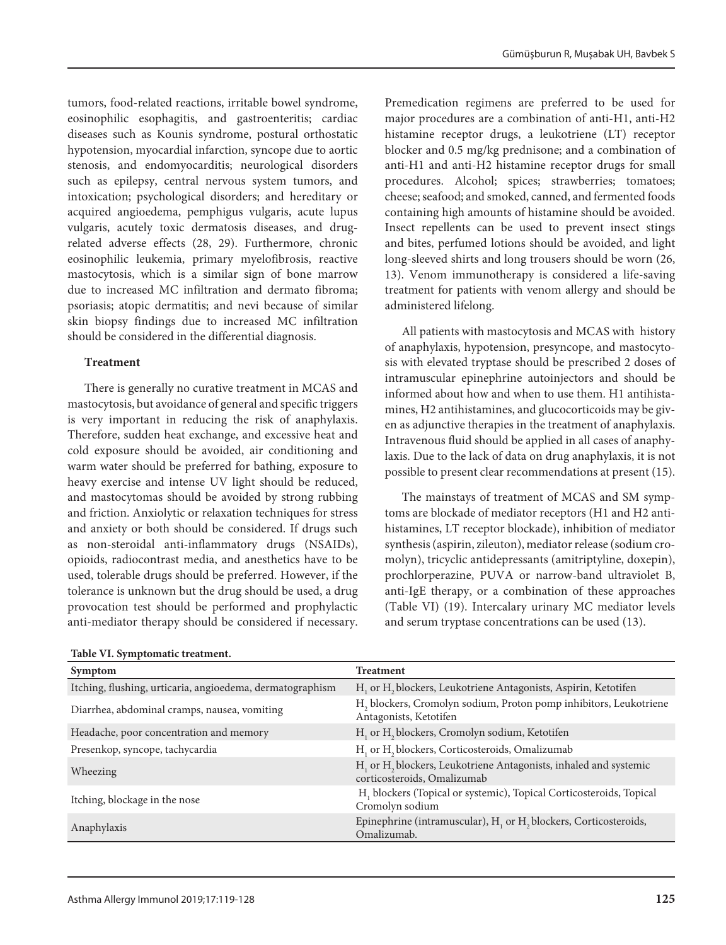tumors, food-related reactions, irritable bowel syndrome, eosinophilic esophagitis, and gastroenteritis; cardiac diseases such as Kounis syndrome, postural orthostatic hypotension, myocardial infarction, syncope due to aortic stenosis, and endomyocarditis; neurological disorders such as epilepsy, central nervous system tumors, and intoxication; psychological disorders; and hereditary or acquired angioedema, pemphigus vulgaris, acute lupus vulgaris, acutely toxic dermatosis diseases, and drugrelated adverse effects (28, 29). Furthermore, chronic eosinophilic leukemia, primary myelofibrosis, reactive mastocytosis, which is a similar sign of bone marrow due to increased MC infiltration and dermato fibroma; psoriasis; atopic dermatitis; and nevi because of similar skin biopsy findings due to increased MC infiltration should be considered in the differential diagnosis.

# **Treatment**

There is generally no curative treatment in MCAS and mastocytosis, but avoidance of general and specific triggers is very important in reducing the risk of anaphylaxis. Therefore, sudden heat exchange, and excessive heat and cold exposure should be avoided, air conditioning and warm water should be preferred for bathing, exposure to heavy exercise and intense UV light should be reduced, and mastocytomas should be avoided by strong rubbing and friction. Anxiolytic or relaxation techniques for stress and anxiety or both should be considered. If drugs such as non-steroidal anti-inflammatory drugs (NSAIDs), opioids, radiocontrast media, and anesthetics have to be used, tolerable drugs should be preferred. However, if the tolerance is unknown but the drug should be used, a drug provocation test should be performed and prophylactic anti-mediator therapy should be considered if necessary.

| Premedication regimens are preferred to be used for       |
|-----------------------------------------------------------|
| major procedures are a combination of anti-H1, anti-H2    |
| histamine receptor drugs, a leukotriene (LT) receptor     |
| blocker and 0.5 mg/kg prednisone; and a combination of    |
| anti-H1 and anti-H2 histamine receptor drugs for small    |
| procedures. Alcohol; spices; strawberries; tomatoes;      |
| cheese; seafood; and smoked, canned, and fermented foods  |
| containing high amounts of histamine should be avoided.   |
| Insect repellents can be used to prevent insect stings    |
| and bites, perfumed lotions should be avoided, and light  |
| long-sleeved shirts and long trousers should be worn (26, |
| 13). Venom immunotherapy is considered a life-saving      |
| treatment for patients with venom allergy and should be   |
| administered lifelong.                                    |
|                                                           |

All patients with mastocytosis and MCAS with history of anaphylaxis, hypotension, presyncope, and mastocytosis with elevated tryptase should be prescribed 2 doses of intramuscular epinephrine autoinjectors and should be informed about how and when to use them. H1 antihistamines, H2 antihistamines, and glucocorticoids may be given as adjunctive therapies in the treatment of anaphylaxis. Intravenous fluid should be applied in all cases of anaphylaxis. Due to the lack of data on drug anaphylaxis, it is not possible to present clear recommendations at present (15).

The mainstays of treatment of MCAS and SM symptoms are blockade of mediator receptors (H1 and H2 antihistamines, LT receptor blockade), inhibition of mediator synthesis (aspirin, zileuton), mediator release (sodium cromolyn), tricyclic antidepressants (amitriptyline, doxepin), prochlorperazine, PUVA or narrow-band ultraviolet B, anti-IgE therapy, or a combination of these approaches (Table VI) (19). Intercalary urinary MC mediator levels and serum tryptase concentrations can be used (13).

| Symptom                                                   | <b>Treatment</b>                                                                                                        |
|-----------------------------------------------------------|-------------------------------------------------------------------------------------------------------------------------|
| Itching, flushing, urticaria, angioedema, dermatographism | H. or H <sub>2</sub> blockers, Leukotriene Antagonists, Aspirin, Ketotifen                                              |
| Diarrhea, abdominal cramps, nausea, vomiting              | H <sub>2</sub> blockers, Cromolyn sodium, Proton pomp inhibitors, Leukotriene<br>Antagonists, Ketotifen                 |
| Headache, poor concentration and memory                   | H <sub>1</sub> or H <sub>2</sub> blockers, Cromolyn sodium, Ketotifen                                                   |
| Presenkop, syncope, tachycardia                           | H <sub>1</sub> or H <sub>2</sub> blockers, Corticosteroids, Omalizumab                                                  |
| Wheezing                                                  | H <sub>1</sub> or H <sub>2</sub> blockers, Leukotriene Antagonists, inhaled and systemic<br>corticosteroids, Omalizumab |
| Itching, blockage in the nose                             | H. blockers (Topical or systemic), Topical Corticosteroids, Topical<br>Cromolyn sodium                                  |
| Anaphylaxis                                               | Epinephrine (intramuscular), H <sub>1</sub> or H <sub>2</sub> blockers, Corticosteroids,<br>Omalizumab.                 |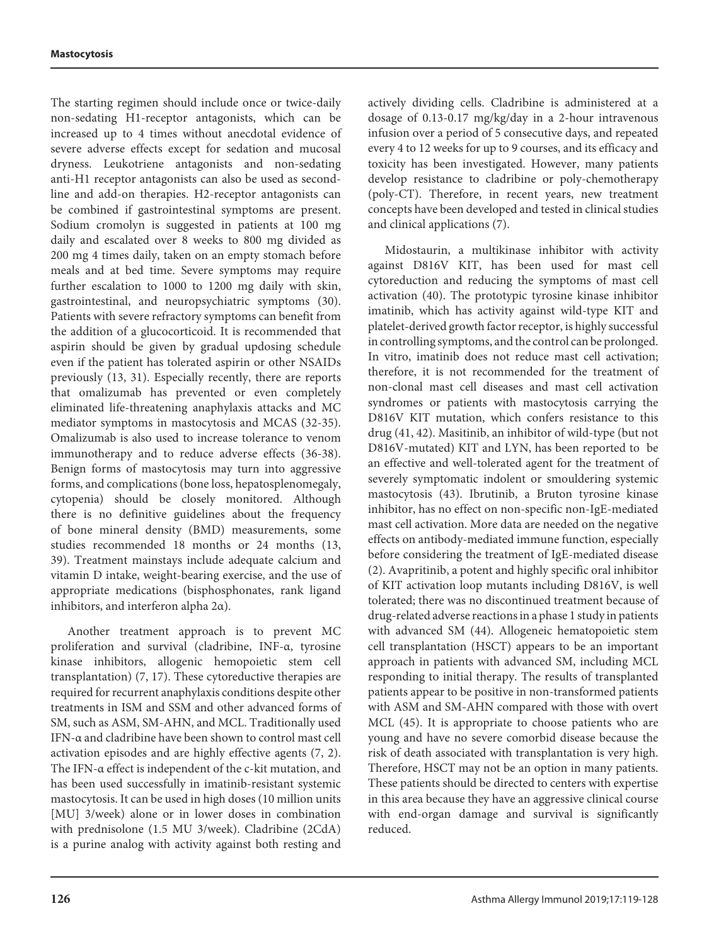The starting regimen should include once or twice-daily non-sedating H1-receptor antagonists, which can be increased up to 4 times without anecdotal evidence of severe adverse effects except for sedation and mucosal dryness. Leukotriene antagonists and non-sedating anti-H1 receptor antagonists can also be used as secondline and add-on therapies. H2-receptor antagonists can be combined if gastrointestinal symptoms are present. Sodium cromolyn is suggested in patients at 100 mg daily and escalated over 8 weeks to 800 mg divided as 200 mg 4 times daily, taken on an empty stomach before meals and at bed time. Severe symptoms may require further escalation to 1000 to 1200 mg daily with skin, gastrointestinal, and neuropsychiatric symptoms (30). Patients with severe refractory symptoms can benefit from the addition of a glucocorticoid. It is recommended that aspirin should be given by gradual updosing schedule even if the patient has tolerated aspirin or other NSAIDs previously (13, 31). Especially recently, there are reports that omalizumab has prevented or even completely eliminated life-threatening anaphylaxis attacks and MC mediator symptoms in mastocytosis and MCAS (32-35). Omalizumab is also used to increase tolerance to venom immunotherapy and to reduce adverse effects (36-38). Benign forms of mastocytosis may turn into aggressive forms, and complications (bone loss, hepatosplenomegaly, cytopenia) should be closely monitored. Although there is no definitive guidelines about the frequency of bone mineral density (BMD) measurements, some studies recommended 18 months or 24 months (13, 39). Treatment mainstays include adequate calcium and vitamin D intake, weight-bearing exercise, and the use of appropriate medications (bisphosphonates, rank ligand inhibitors, and interferon alpha 2α).

Another treatment approach is to prevent MC proliferation and survival (cladribine, INF-α, tyrosine kinase inhibitors, allogenic hemopoietic stem cell transplantation) (7, 17). These cytoreductive therapies are required for recurrent anaphylaxis conditions despite other treatments in ISM and SSM and other advanced forms of SM, such as ASM, SM-AHN, and MCL. Traditionally used IFN-α and cladribine have been shown to control mast cell activation episodes and are highly effective agents (7, 2). The IFN-α effect is independent of the c-kit mutation, and has been used successfully in imatinib-resistant systemic mastocytosis. It can be used in high doses (10 million units [MU] 3/week) alone or in lower doses in combination with prednisolone (1.5 MU 3/week). Cladribine (2CdA) is a purine analog with activity against both resting and

actively dividing cells. Cladribine is administered at a dosage of 0.13-0.17 mg/kg/day in a 2-hour intravenous infusion over a period of 5 consecutive days, and repeated every 4 to 12 weeks for up to 9 courses, and its efficacy and toxicity has been investigated. However, many patients develop resistance to cladribine or poly-chemotherapy (poly-CT). Therefore, in recent years, new treatment concepts have been developed and tested in clinical studies and clinical applications (7).

Midostaurin, a multikinase inhibitor with activity against D816V KIT, has been used for mast cell cytoreduction and reducing the symptoms of mast cell activation (40). The prototypic tyrosine kinase inhibitor imatinib, which has activity against wild-type KIT and platelet-derived growth factor receptor, is highly successful in controlling symptoms, and the control can be prolonged. In vitro, imatinib does not reduce mast cell activation; therefore, it is not recommended for the treatment of non-clonal mast cell diseases and mast cell activation syndromes or patients with mastocytosis carrying the D816V KIT mutation, which confers resistance to this drug (41, 42). Masitinib, an inhibitor of wild-type (but not D816V-mutated) KIT and LYN, has been reported to be an effective and well-tolerated agent for the treatment of severely symptomatic indolent or smouldering systemic mastocytosis (43). Ibrutinib, a Bruton tyrosine kinase inhibitor, has no effect on non-specific non-IgE-mediated mast cell activation. More data are needed on the negative effects on antibody-mediated immune function, especially before considering the treatment of IgE-mediated disease (2). Avapritinib, a potent and highly specific oral inhibitor of KIT activation loop mutants including D816V, is well tolerated; there was no discontinued treatment because of drug-related adverse reactions in a phase 1 study in patients with advanced SM (44). Allogeneic hematopoietic stem cell transplantation (HSCT) appears to be an important approach in patients with advanced SM, including MCL responding to initial therapy. The results of transplanted patients appear to be positive in non-transformed patients with ASM and SM-AHN compared with those with overt MCL (45). It is appropriate to choose patients who are young and have no severe comorbid disease because the risk of death associated with transplantation is very high. Therefore, HSCT may not be an option in many patients. These patients should be directed to centers with expertise in this area because they have an aggressive clinical course with end-organ damage and survival is significantly reduced.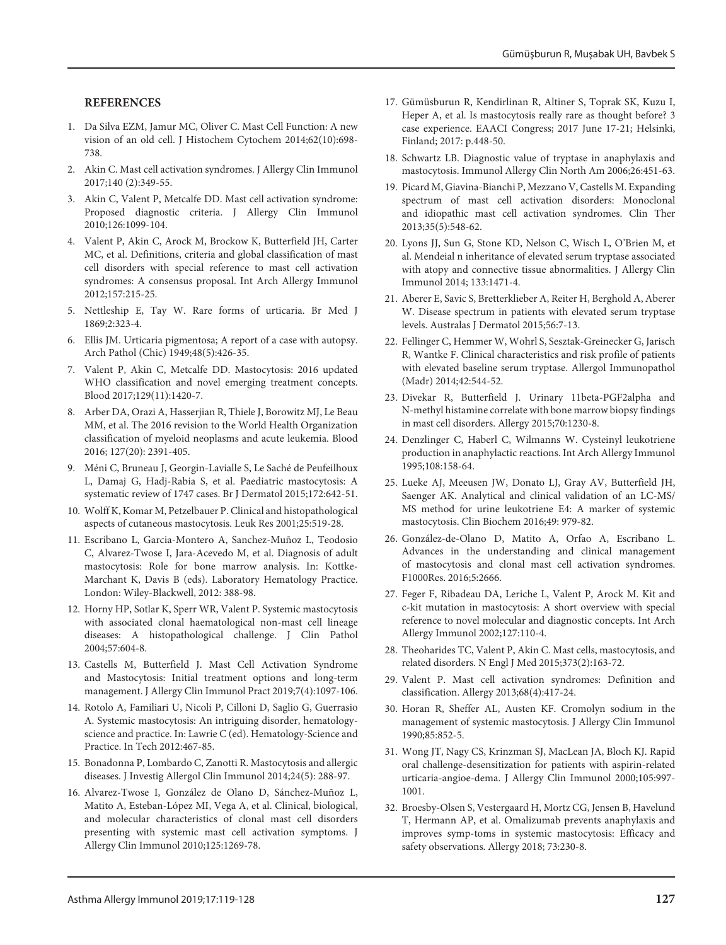#### **REFERENCES**

- 1. Da Silva EZM, Jamur MC, Oliver C. Mast Cell Function: A new vision of an old cell. J Histochem Cytochem 2014;62(10):698- 738.
- 2. Akin C. Mast cell activation syndromes. J Allergy Clin Immunol 2017;140 (2):349-55.
- 3. Akin C, Valent P, Metcalfe DD. Mast cell activation syndrome: Proposed diagnostic criteria. J Allergy Clin Immunol 2010;126:1099-104.
- 4. Valent P, Akin C, Arock M, Brockow K, Butterfield JH, Carter MC, et al. Definitions, criteria and global classification of mast cell disorders with special reference to mast cell activation syndromes: A consensus proposal. Int Arch Allergy Immunol 2012;157:215-25.
- 5. Nettleship E, Tay W. Rare forms of urticaria. Br Med J 1869;2:323-4.
- 6. Ellis JM. Urticaria pigmentosa; A report of a case with autopsy. Arch Pathol (Chic) 1949;48(5):426-35.
- 7. Valent P, Akin C, Metcalfe DD. Mastocytosis: 2016 updated WHO classification and novel emerging treatment concepts. Blood 2017;129(11):1420-7.
- 8. Arber DA, Orazi A, Hasserjian R, Thiele J, Borowitz MJ, Le Beau MM, et al. The 2016 revision to the World Health Organization classification of myeloid neoplasms and acute leukemia. Blood 2016; 127(20): 2391-405.
- 9. Méni C, Bruneau J, Georgin-Lavialle S, Le Saché de Peufeilhoux L, Damaj G, Hadj-Rabia S, et al. Paediatric mastocytosis: A systematic review of 1747 cases. Br J Dermatol 2015;172:642-51.
- 10. Wolff K, Komar M, Petzelbauer P. Clinical and histopathological aspects of cutaneous mastocytosis. Leuk Res 2001;25:519-28.
- 11. Escribano L, Garcia-Montero A, Sanchez-Muñoz L, Teodosio C, Alvarez‐Twose I, Jara‐Acevedo M, et al. Diagnosis of adult mastocytosis: Role for bone marrow analysis. In: Kottke-Marchant K, Davis B (eds). Laboratory Hematology Practice. London: Wiley-Blackwell, 2012: 388-98.
- 12. Horny HP, Sotlar K, Sperr WR, Valent P. Systemic mastocytosis with associated clonal haematological non-mast cell lineage diseases: A histopathological challenge. J Clin Pathol 2004;57:604-8.
- 13. Castells M, Butterfield J. Mast Cell Activation Syndrome and Mastocytosis: Initial treatment options and long-term management. J Allergy Clin Immunol Pract 2019;7(4):1097-106.
- 14. Rotolo A, Familiari U, Nicoli P, Cilloni D, Saglio G, Guerrasio A. Systemic mastocytosis: An intriguing disorder, hematologyscience and practice. In: Lawrie C (ed). Hematology-Science and Practice. In Tech 2012:467-85.
- 15. Bonadonna P, Lombardo C, Zanotti R. Mastocytosis and allergic diseases. J Investig Allergol Clin Immunol 2014;24(5): 288-97.
- 16. Alvarez-Twose I, González de Olano D, Sánchez-Muñoz L, Matito A, Esteban-López MI, Vega A, et al. Clinical, biological, and molecular characteristics of clonal mast cell disorders presenting with systemic mast cell activation symptoms. J Allergy Clin Immunol 2010;125:1269-78.
- 17. Gümüsburun R, Kendirlinan R, Altiner S, Toprak SK, Kuzu I, Heper A, et al. Is mastocytosis really rare as thought before? 3 case experience. EAACI Congress; 2017 June 17-21; Helsinki, Finland; 2017: p.448-50.
- 18. Schwartz LB. Diagnostic value of tryptase in anaphylaxis and mastocytosis. Immunol Allergy Clin North Am 2006;26:451-63.
- 19. Picard M, Giavina-Bianchi P, Mezzano V, Castells M. Expanding spectrum of mast cell activation disorders: Monoclonal and idiopathic mast cell activation syndromes. Clin Ther 2013;35(5):548-62.
- 20. Lyons JJ, Sun G, Stone KD, Nelson C, Wisch L, O'Brien M, et al. Mendeial n inheritance of elevated serum tryptase associated with atopy and connective tissue abnormalities. J Allergy Clin Immunol 2014; 133:1471-4.
- 21. Aberer E, Savic S, Bretterklieber A, Reiter H, Berghold A, Aberer W. Disease spectrum in patients with elevated serum tryptase levels. Australas J Dermatol 2015;56:7-13.
- 22. Fellinger C, Hemmer W, Wohrl S, Sesztak-Greinecker G, Jarisch R, Wantke F. Clinical characteristics and risk profile of patients with elevated baseline serum tryptase. Allergol Immunopathol (Madr) 2014;42:544-52.
- 23. Divekar R, Butterfield J. Urinary 11beta-PGF2alpha and N-methyl histamine correlate with bone marrow biopsy findings in mast cell disorders. Allergy 2015;70:1230-8.
- 24. Denzlinger C, Haberl C, Wilmanns W. Cysteinyl leukotriene production in anaphylactic reactions. Int Arch Allergy Immunol 1995;108:158-64.
- 25. Lueke AJ, Meeusen JW, Donato LJ, Gray AV, Butterfield JH, Saenger AK. Analytical and clinical validation of an LC-MS/ MS method for urine leukotriene E4: A marker of systemic mastocytosis. Clin Biochem 2016;49: 979-82.
- 26. González-de-Olano D, Matito A, Orfao A, Escribano L. Advances in the understanding and clinical management of mastocytosis and clonal mast cell activation syndromes. F1000Res. 2016;5:2666.
- 27. Feger F, Ribadeau DA, Leriche L, Valent P, Arock M. Kit and c-kit mutation in mastocytosis: A short overview with special reference to novel molecular and diagnostic concepts. Int Arch Allergy Immunol 2002;127:110-4.
- 28. Theoharides TC, Valent P, Akin C. Mast cells, mastocytosis, and related disorders. N Engl J Med 2015;373(2):163-72.
- 29. Valent P. Mast cell activation syndromes: Definition and classification. Allergy 2013;68(4):417-24.
- 30. Horan R, Sheffer AL, Austen KF. Cromolyn sodium in the management of systemic mastocytosis. J Allergy Clin Immunol 1990;85:852-5.
- 31. Wong JT, Nagy CS, Krinzman SJ, MacLean JA, Bloch KJ. Rapid oral challenge-desensitization for patients with aspirin-related urticaria-angioe-dema. J Allergy Clin Immunol 2000;105:997- 1001.
- 32. Broesby-Olsen S, Vestergaard H, Mortz CG, Jensen B, Havelund T, Hermann AP, et al. Omalizumab prevents anaphylaxis and improves symp-toms in systemic mastocytosis: Efficacy and safety observations. Allergy 2018; 73:230-8.